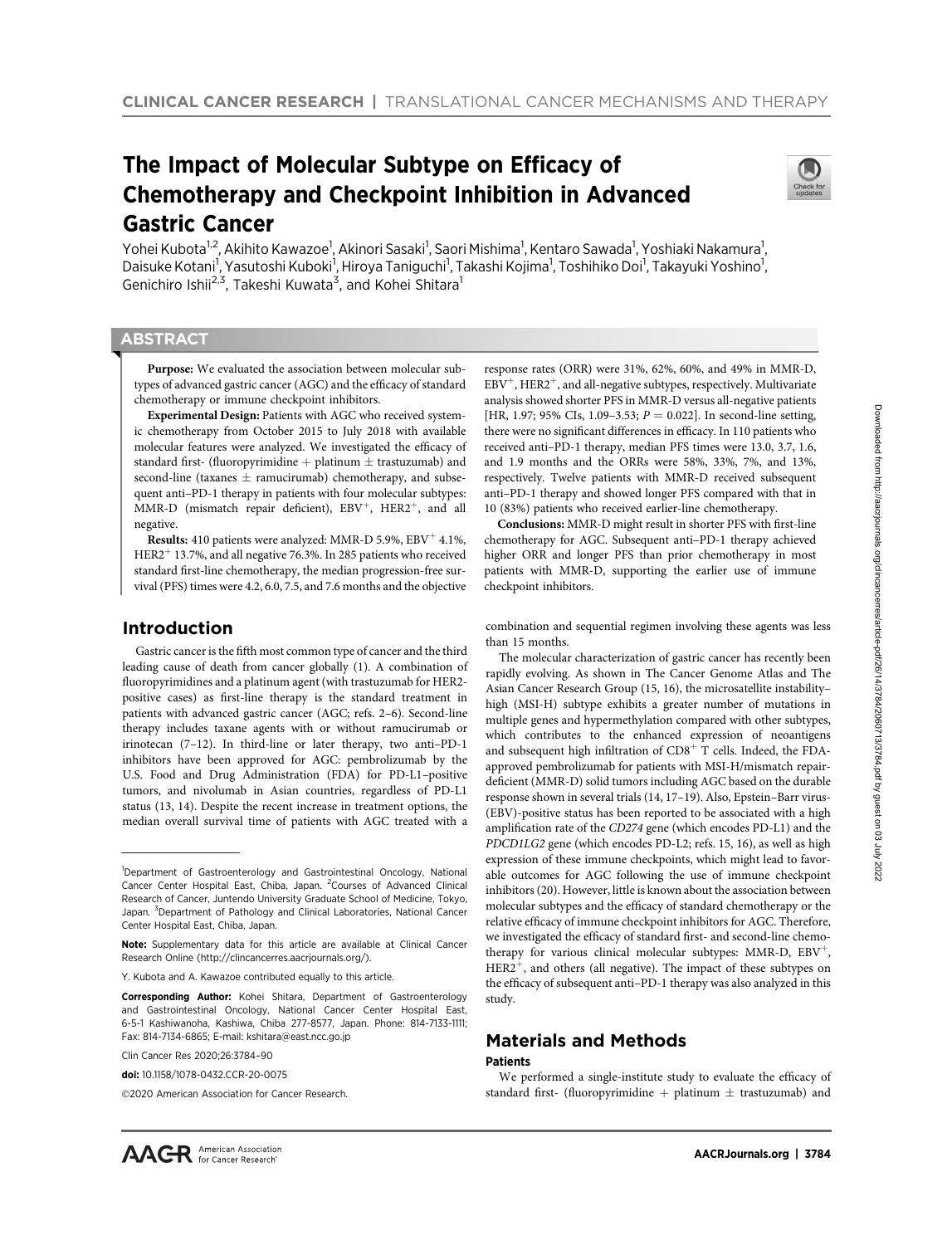# The Impact of Molecular Subtype on Efficacy of Chemotherapy and Checkpoint Inhibition in Advanced Gastric Cancer



Yohei Kubota<sup>1,2</sup>, Akihito Kawazoe<sup>1</sup>, Akinori Sasaki<sup>1</sup>, Saori Mishima<sup>1</sup>, Kentaro Sawada<sup>1</sup>, Yoshiaki Nakamura<sup>1</sup>, Daisuke Kotani<sup>1</sup>, Yasutoshi Kuboki<sup>1</sup>, Hiroya Taniguchi<sup>1</sup>, Takashi Kojima<sup>1</sup>, Toshihiko Doi<sup>1</sup>, Takayuki Yoshino<sup>1</sup>, Genichiro Ishii<sup>2,3</sup>, Takeshi Kuwata<sup>3</sup>, and Kohei Shitara<sup>1</sup>

# **ABSTRACT**

◥

Purpose: We evaluated the association between molecular subtypes of advanced gastric cancer (AGC) and the efficacy of standard chemotherapy or immune checkpoint inhibitors.

Experimental Design: Patients with AGC who received systemic chemotherapy from October 2015 to July 2018 with available molecular features were analyzed. We investigated the efficacy of standard first- (fluoropyrimidine + platinum  $\pm$  trastuzumab) and second-line (taxanes  $\pm$  ramucirumab) chemotherapy, and subsequent anti–PD-1 therapy in patients with four molecular subtypes: MMR-D (mismatch repair deficient),  $EBV^{+}$ ,  $HER2^{+}$ , and all negative.

Results: 410 patients were analyzed: MMR-D 5.9%,  $EBV<sup>+</sup>$  4.1%,  $HER2<sup>+</sup>$  13.7%, and all negative 76.3%. In 285 patients who received standard first-line chemotherapy, the median progression-free survival (PFS) times were 4.2, 6.0, 7.5, and 7.6 months and the objective

# Introduction

Gastric cancer is the fifth most common type of cancer and the third leading cause of death from cancer globally (1). A combination of fluoropyrimidines and a platinum agent (with trastuzumab for HER2 positive cases) as first-line therapy is the standard treatment in patients with advanced gastric cancer (AGC; refs. 2–6). Second-line therapy includes taxane agents with or without ramucirumab or irinotecan (7–12). In third-line or later therapy, two anti–PD-1 inhibitors have been approved for AGC: pembrolizumab by the U.S. Food and Drug Administration (FDA) for PD-L1–positive tumors, and nivolumab in Asian countries, regardless of PD-L1 status (13, 14). Despite the recent increase in treatment options, the median overall survival time of patients with AGC treated with a

response rates (ORR) were 31%, 62%, 60%, and 49% in MMR-D,  $EBV^{+}$ , HER2<sup>+</sup>, and all-negative subtypes, respectively. Multivariate analysis showed shorter PFS in MMR-D versus all-negative patients [HR, 1.97; 95% CIs, 1.09–3.53;  $P = 0.022$ ]. In second-line setting, there were no significant differences in efficacy. In 110 patients who received anti–PD-1 therapy, median PFS times were 13.0, 3.7, 1.6, and 1.9 months and the ORRs were 58%, 33%, 7%, and 13%, respectively. Twelve patients with MMR-D received subsequent anti–PD-1 therapy and showed longer PFS compared with that in 10 (83%) patients who received earlier-line chemotherapy.

Conclusions: MMR-D might result in shorter PFS with first-line chemotherapy for AGC. Subsequent anti–PD-1 therapy achieved higher ORR and longer PFS than prior chemotherapy in most patients with MMR-D, supporting the earlier use of immune checkpoint inhibitors.

combination and sequential regimen involving these agents was less than 15 months.

The molecular characterization of gastric cancer has recently been rapidly evolving. As shown in The Cancer Genome Atlas and The Asian Cancer Research Group (15, 16), the microsatellite instability– high (MSI-H) subtype exhibits a greater number of mutations in multiple genes and hypermethylation compared with other subtypes, which contributes to the enhanced expression of neoantigens and subsequent high infiltration of  $CD8<sup>+</sup>$  T cells. Indeed, the FDAapproved pembrolizumab for patients with MSI-H/mismatch repairdeficient (MMR-D) solid tumors including AGC based on the durable response shown in several trials (14, 17–19). Also, Epstein–Barr virus- (EBV)-positive status has been reported to be associated with a high amplification rate of the CD274 gene (which encodes PD-L1) and the PDCD1LG2 gene (which encodes PD-L2; refs. 15, 16), as well as high expression of these immune checkpoints, which might lead to favorable outcomes for AGC following the use of immune checkpoint inhibitors (20). However, little is known about the association between molecular subtypes and the efficacy of standard chemotherapy or the relative efficacy of immune checkpoint inhibitors for AGC. Therefore, we investigated the efficacy of standard first- and second-line chemotherapy for various clinical molecular subtypes: MMR-D,  $EBV^{+}$ ,  $HER2<sup>+</sup>$ , and others (all negative). The impact of these subtypes on the efficacy of subsequent anti–PD-1 therapy was also analyzed in this study.

# Materials and Methods

#### Patients

We performed a single-institute study to evaluate the efficacy of standard first- (fluoropyrimidine + platinum  $\pm$  trastuzumab) and

<sup>&</sup>lt;sup>1</sup>Department of Gastroenterology and Gastrointestinal Oncology, National Cancer Center Hospital East, Chiba, Japan. <sup>2</sup>Courses of Advanced Clinical Research of Cancer, Juntendo University Graduate School of Medicine, Tokyo, Japan. <sup>3</sup>Department of Pathology and Clinical Laboratories, National Cancer Center Hospital East, Chiba, Japan.

Note: Supplementary data for this article are available at Clinical Cancer Research Online (http://clincancerres.aacrjournals.org/).

Y. Kubota and A. Kawazoe contributed equally to this article.

Corresponding Author: Kohei Shitara, Department of Gastroenterology and Gastrointestinal Oncology, National Cancer Center Hospital East, 6-5-1 Kashiwanoha, Kashiwa, Chiba 277-8577, Japan. Phone: 814-7133-1111; Fax: 814-7134-6865; E-mail: kshitara@east.ncc.go.jp

Clin Cancer Res 2020;26:3784–90

doi: 10.1158/1078-0432.CCR-20-0075

<sup>2020</sup> American Association for Cancer Research.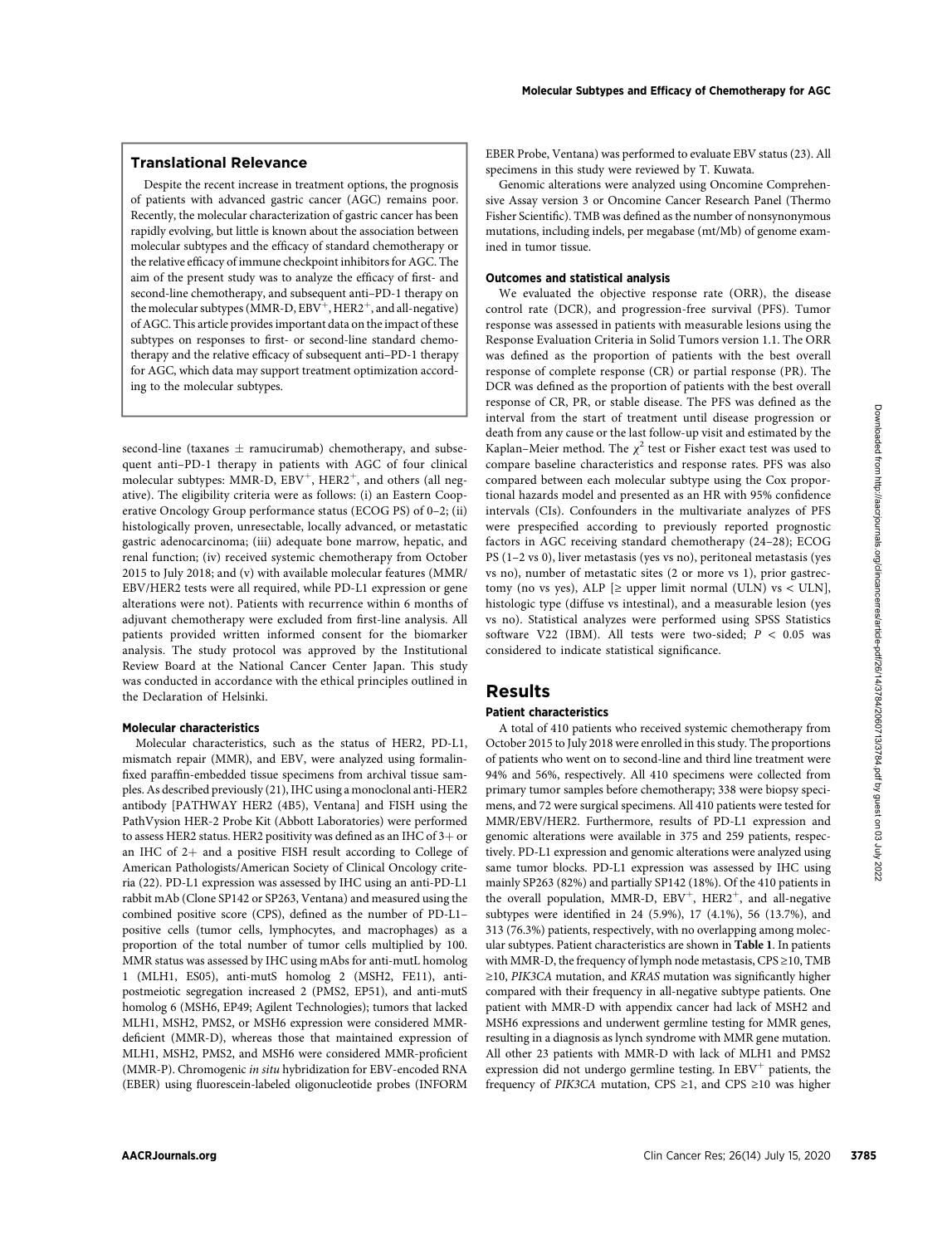# Translational Relevance

Despite the recent increase in treatment options, the prognosis of patients with advanced gastric cancer (AGC) remains poor. Recently, the molecular characterization of gastric cancer has been rapidly evolving, but little is known about the association between molecular subtypes and the efficacy of standard chemotherapy or the relative efficacy of immune checkpoint inhibitors for AGC. The aim of the present study was to analyze the efficacy of first- and second-line chemotherapy, and subsequent anti–PD-1 therapy on the molecular subtypes (MMR-D,  $EBV^+$ , HER2<sup>+</sup>, and all-negative) of AGC. This article provides important data on the impact of these subtypes on responses to first- or second-line standard chemotherapy and the relative efficacy of subsequent anti–PD-1 therapy for AGC, which data may support treatment optimization according to the molecular subtypes.

 $second-line$  (taxanes  $\pm$  ramucirumab) chemotherapy, and subsequent anti–PD-1 therapy in patients with AGC of four clinical molecular subtypes: MMR-D,  $EBV^{+}$ , HER2<sup>+</sup>, and others (all negative). The eligibility criteria were as follows: (i) an Eastern Cooperative Oncology Group performance status (ECOG PS) of 0–2; (ii) histologically proven, unresectable, locally advanced, or metastatic gastric adenocarcinoma; (iii) adequate bone marrow, hepatic, and renal function; (iv) received systemic chemotherapy from October 2015 to July 2018; and (v) with available molecular features (MMR/ EBV/HER2 tests were all required, while PD-L1 expression or gene alterations were not). Patients with recurrence within 6 months of adjuvant chemotherapy were excluded from first-line analysis. All patients provided written informed consent for the biomarker analysis. The study protocol was approved by the Institutional Review Board at the National Cancer Center Japan. This study was conducted in accordance with the ethical principles outlined in the Declaration of Helsinki.

# Molecular characteristics

Molecular characteristics, such as the status of HER2, PD-L1, mismatch repair (MMR), and EBV, were analyzed using formalinfixed paraffin-embedded tissue specimens from archival tissue samples. As described previously (21), IHC using a monoclonal anti-HER2 antibody [PATHWAY HER2 (4B5), Ventana] and FISH using the PathVysion HER-2 Probe Kit (Abbott Laboratories) were performed to assess HER2 status. HER2 positivity was defined as an IHC of  $3+$  or an IHC of  $2+$  and a positive FISH result according to College of American Pathologists/American Society of Clinical Oncology criteria (22). PD-L1 expression was assessed by IHC using an anti-PD-L1 rabbit mAb (Clone SP142 or SP263, Ventana) and measured using the combined positive score (CPS), defined as the number of PD-L1– positive cells (tumor cells, lymphocytes, and macrophages) as a proportion of the total number of tumor cells multiplied by 100. MMR status was assessed by IHC using mAbs for anti-mutL homolog 1 (MLH1, ES05), anti-mutS homolog 2 (MSH2, FE11), antipostmeiotic segregation increased 2 (PMS2, EP51), and anti-mutS homolog 6 (MSH6, EP49; Agilent Technologies); tumors that lacked MLH1, MSH2, PMS2, or MSH6 expression were considered MMRdeficient (MMR-D), whereas those that maintained expression of MLH1, MSH2, PMS2, and MSH6 were considered MMR-proficient (MMR-P). Chromogenic in situ hybridization for EBV-encoded RNA (EBER) using fluorescein-labeled oligonucleotide probes (INFORM EBER Probe, Ventana) was performed to evaluate EBV status (23). All specimens in this study were reviewed by T. Kuwata.

Genomic alterations were analyzed using Oncomine Comprehensive Assay version 3 or Oncomine Cancer Research Panel (Thermo Fisher Scientific). TMB was defined as the number of nonsynonymous mutations, including indels, per megabase (mt/Mb) of genome examined in tumor tissue.

## Outcomes and statistical analysis

We evaluated the objective response rate (ORR), the disease control rate (DCR), and progression-free survival (PFS). Tumor response was assessed in patients with measurable lesions using the Response Evaluation Criteria in Solid Tumors version 1.1. The ORR was defined as the proportion of patients with the best overall response of complete response (CR) or partial response (PR). The DCR was defined as the proportion of patients with the best overall response of CR, PR, or stable disease. The PFS was defined as the interval from the start of treatment until disease progression or death from any cause or the last follow-up visit and estimated by the Kaplan–Meier method. The  $\chi^2$  test or Fisher exact test was used to compare baseline characteristics and response rates. PFS was also compared between each molecular subtype using the Cox proportional hazards model and presented as an HR with 95% confidence intervals (CIs). Confounders in the multivariate analyzes of PFS were prespecified according to previously reported prognostic factors in AGC receiving standard chemotherapy (24–28); ECOG PS (1–2 vs 0), liver metastasis (yes vs no), peritoneal metastasis (yes vs no), number of metastatic sites (2 or more vs 1), prior gastrectomy (no vs yes), ALP  $[\geq$  upper limit normal (ULN) vs < ULN], histologic type (diffuse vs intestinal), and a measurable lesion (yes vs no). Statistical analyzes were performed using SPSS Statistics software V22 (IBM). All tests were two-sided;  $P < 0.05$  was considered to indicate statistical significance.

# Results

### Patient characteristics

A total of 410 patients who received systemic chemotherapy from October 2015 to July 2018 were enrolled in this study. The proportions of patients who went on to second-line and third line treatment were 94% and 56%, respectively. All 410 specimens were collected from primary tumor samples before chemotherapy; 338 were biopsy specimens, and 72 were surgical specimens. All 410 patients were tested for MMR/EBV/HER2. Furthermore, results of PD-L1 expression and genomic alterations were available in 375 and 259 patients, respectively. PD-L1 expression and genomic alterations were analyzed using same tumor blocks. PD-L1 expression was assessed by IHC using mainly SP263 (82%) and partially SP142 (18%). Of the 410 patients in the overall population, MMR-D,  $EBV^{+}$ , HER2<sup>+</sup>, and all-negative subtypes were identified in 24 (5.9%), 17 (4.1%), 56 (13.7%), and 313 (76.3%) patients, respectively, with no overlapping among molecular subtypes. Patient characteristics are shown in Table 1. In patients with MMR-D, the frequency of lymph node metastasis, CPS ≥10, TMB ≥10, PIK3CA mutation, and KRAS mutation was significantly higher compared with their frequency in all-negative subtype patients. One patient with MMR-D with appendix cancer had lack of MSH2 and MSH6 expressions and underwent germline testing for MMR genes, resulting in a diagnosis as lynch syndrome with MMR gene mutation. All other 23 patients with MMR-D with lack of MLH1 and PMS2 expression did not undergo germline testing. In  $EBV<sup>+</sup>$  patients, the frequency of PIK3CA mutation, CPS ≥1, and CPS ≥10 was higher According the measure of the measure of the measure of the state of the state of the state of the state of the state of the state of the state of the state of the state of the state of the state of the state of the state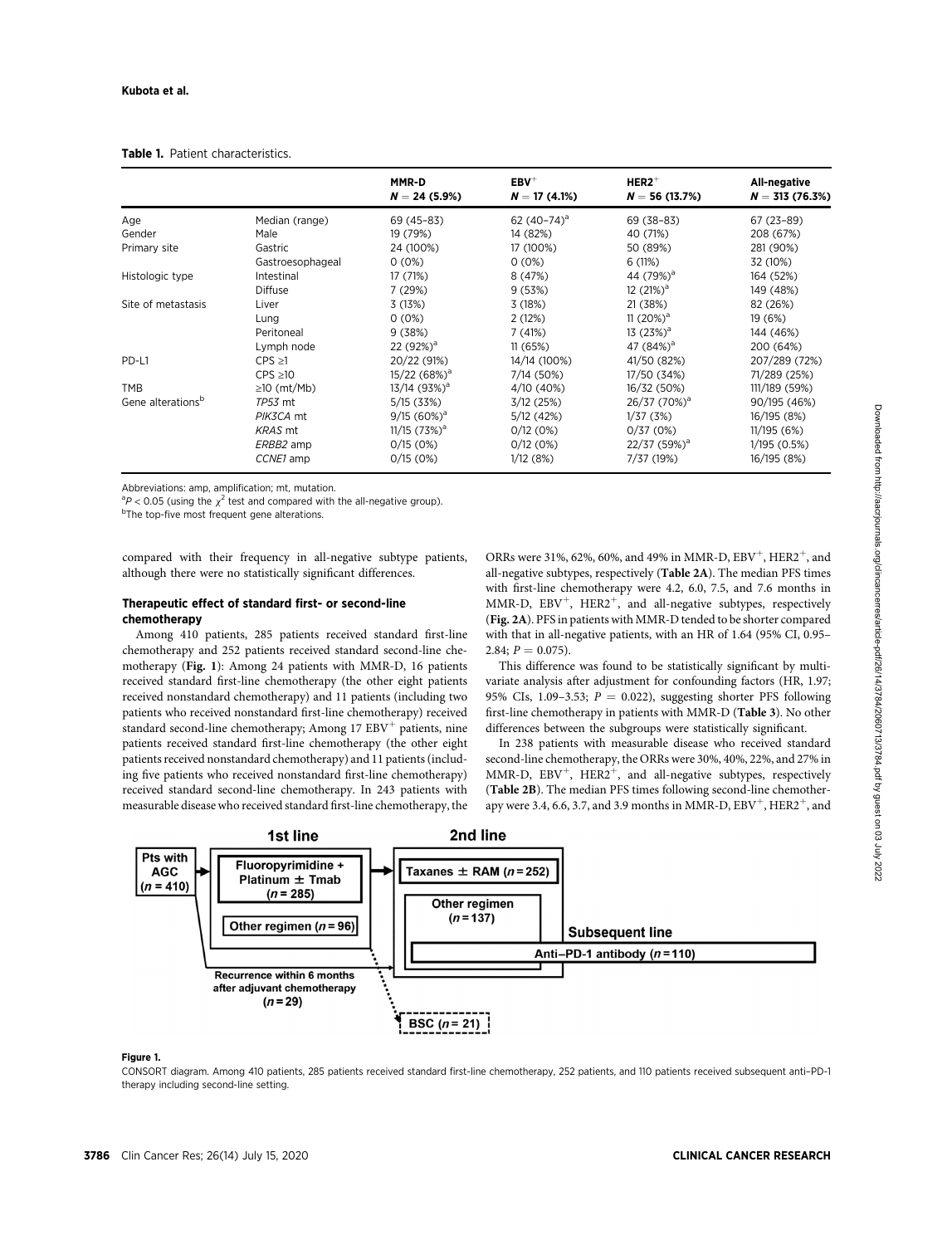|                               |                   | MMR-D<br>$N = 24(5.9\%)$   | $EBV^+$<br>$N = 17(4.1%)$ | $HER2$ <sup>+</sup><br>$N = 56(13.7%)$ | All-negative<br>$N = 313(76.3%)$ |
|-------------------------------|-------------------|----------------------------|---------------------------|----------------------------------------|----------------------------------|
| Age                           | Median (range)    | 69 (45-83)                 | 62 $(40-74)^a$            | 69 (38-83)                             | 67 (23-89)                       |
| Gender                        | Male              | 19 (79%)                   | 14 (82%)                  | 40 (71%)                               | 208 (67%)                        |
| Primary site                  | Gastric           | 24 (100%)                  | 17 (100%)                 | 50 (89%)                               | 281 (90%)                        |
|                               | Gastroesophageal  | $0(0\%)$                   | $0(0\%)$                  | 6(11%)                                 | 32 (10%)                         |
| Histologic type               | Intestinal        | 17 (71%)                   | 8 (47%)                   | 44 (79%) <sup>a</sup>                  | 164 (52%)                        |
|                               | <b>Diffuse</b>    | 7(29%)                     | 9(53%)                    | 12 $(21%)^a$                           | 149 (48%)                        |
| Site of metastasis            | Liver             | 3(13%)                     | 3(18%)                    | 21 (38%)                               | 82 (26%)                         |
|                               | Lung              | $0(0\%)$                   | 2(12%)                    | 11 $(20\%)^a$                          | 19 (6%)                          |
|                               | Peritoneal        | 9(38%)                     | 7(41%)                    | 13 $(23%)^a$                           | 144 (46%)                        |
|                               | Lymph node        | 22 $(92%)^a$               | 11(65%)                   | 47 $(84%)^a$                           | 200 (64%)                        |
| PD-L1                         | $CPS \ge 1$       | 20/22 (91%)                | 14/14 (100%)              | 41/50 (82%)                            | 207/289 (72%)                    |
|                               | $CPS \ge 10$      | 15/22(68%) <sup>a</sup>    | 7/14 (50%)                | 17/50 (34%)                            | 71/289 (25%)                     |
| TMB                           | $\geq$ 10 (mt/Mb) | 13/14 (93%) <sup>a</sup>   | 4/10 (40%)                | 16/32 (50%)                            | 111/189 (59%)                    |
| Gene alterations <sup>b</sup> | TP53 mt           | 5/15 (33%)                 | 3/12(25%)                 | 26/37 (70%) <sup>a</sup>               | 90/195 (46%)                     |
|                               | PIK3CA mt         | $9/15(60\%)^a$             | 5/12(42%)                 | 1/37(3%)                               | 16/195 (8%)                      |
|                               | <b>KRAS</b> mt    | $11/15$ (73%) <sup>a</sup> | 0/12(0%)                  | 0/37(0%)                               | 11/195(6%)                       |
|                               | ERBB2 amp         | 0/15(0%)                   | 0/12(0%)                  | 22/37(59%) <sup>a</sup>                | 1/195(0.5%)                      |
|                               | CCNE1 amp         | 0/15(0%)                   | 1/12(8%)                  | 7/37 (19%)                             | 16/195 (8%)                      |

#### Table 1. Patient characteristics.

Abbreviations: amp, amplification; mt, mutation.

 $a^2P < 0.05$  (using the  $\chi^2$  test and compared with the all-negative group).<br>b<sub>The top-five</sub> most frequent gene alterations

<sup>b</sup>The top-five most frequent gene alterations.

compared with their frequency in all-negative subtype patients, although there were no statistically significant differences.

## Therapeutic effect of standard first- or second-line chemotherapy

Among 410 patients, 285 patients received standard first-line chemotherapy and 252 patients received standard second-line chemotherapy (Fig. 1): Among 24 patients with MMR-D, 16 patients received standard first-line chemotherapy (the other eight patients received nonstandard chemotherapy) and 11 patients (including two patients who received nonstandard first-line chemotherapy) received standard second-line chemotherapy; Among 17 EBV<sup>+</sup> patients, nine patients received standard first-line chemotherapy (the other eight patients received nonstandard chemotherapy) and 11 patients (including five patients who received nonstandard first-line chemotherapy) received standard second-line chemotherapy. In 243 patients with measurable disease who received standard first-line chemotherapy, the ORRs were 31%, 62%, 60%, and 49% in MMR-D,  $EBV^{+}$ , HER2<sup>+</sup>, and all-negative subtypes, respectively (Table 2A). The median PFS times with first-line chemotherapy were 4.2, 6.0, 7.5, and 7.6 months in MMR-D,  $EBV^{+}$ , HER2<sup>+</sup>, and all-negative subtypes, respectively (Fig. 2A). PFS in patients with MMR-D tended to be shorter compared with that in all-negative patients, with an HR of 1.64 (95% CI, 0.95– 2.84;  $P = 0.075$ ).

This difference was found to be statistically significant by multivariate analysis after adjustment for confounding factors (HR, 1.97; 95% CIs, 1.09–3.53;  $P = 0.022$ ), suggesting shorter PFS following first-line chemotherapy in patients with MMR-D (Table 3). No other differences between the subgroups were statistically significant.

In 238 patients with measurable disease who received standard second-line chemotherapy, the ORRs were 30%, 40%, 22%, and 27% in MMR-D,  $EBV^+$ , HER2<sup>+</sup>, and all-negative subtypes, respectively (Table 2B). The median PFS times following second-line chemotherapy were 3.4, 6.6, 3.7, and 3.9 months in MMR-D,  $EBV^+$ , HER2<sup>+</sup>, and



#### Figure 1.

CONSORT diagram. Among 410 patients, 285 patients received standard first-line chemotherapy, 252 patients, and 110 patients received subsequent anti–PD-1 therapy including second-line setting.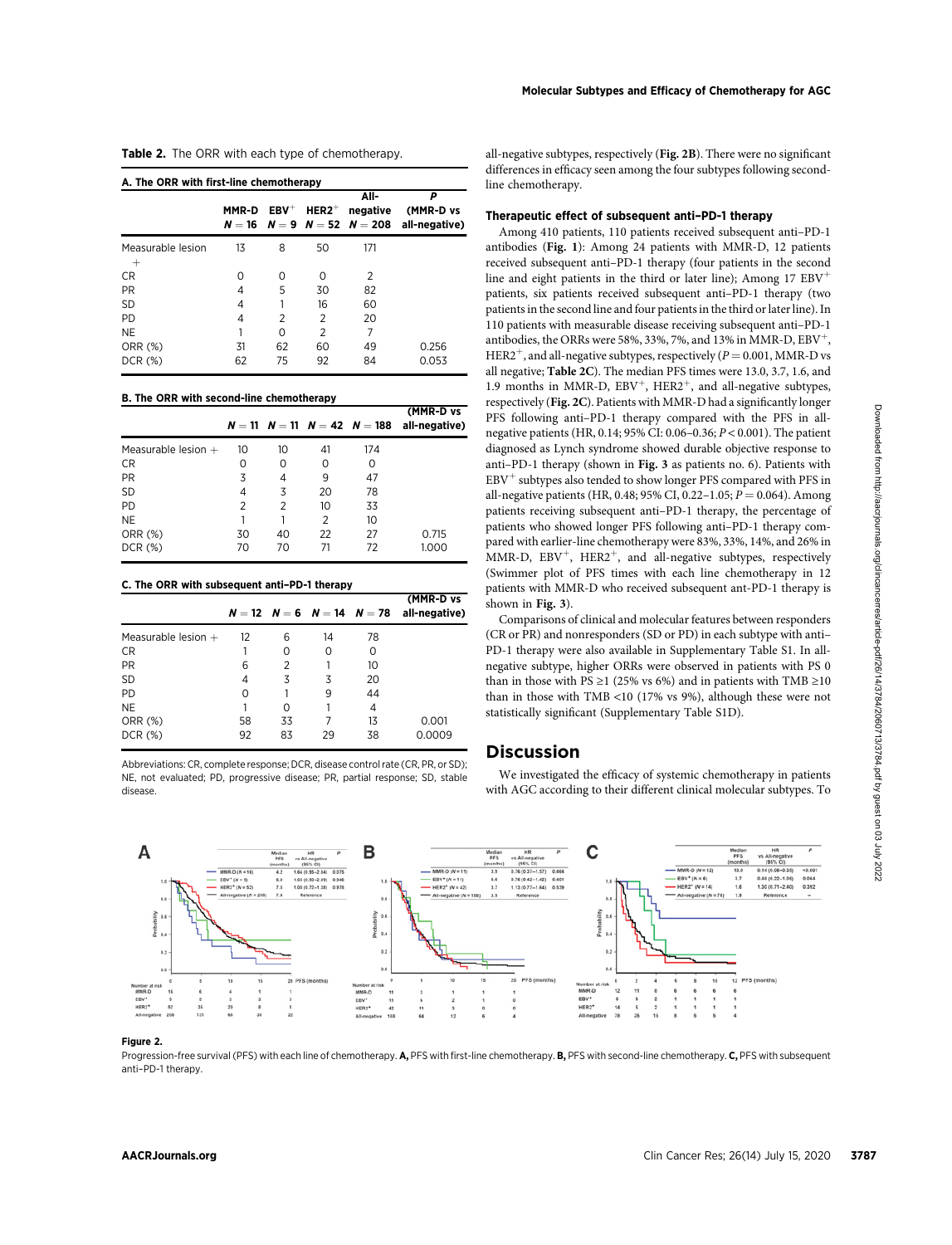Table 2. The ORR with each type of chemotherapy.

| A. The ORR with first-line chemotherapy |       |         |                | All-     | P                                                 |  |
|-----------------------------------------|-------|---------|----------------|----------|---------------------------------------------------|--|
|                                         | MMR-D | $EBV^+$ | $HER2^+$       | negative | (MMR-D vs                                         |  |
|                                         |       |         |                |          | $N = 16$ $N = 9$ $N = 52$ $N = 208$ all-negative) |  |
| Measurable lesion                       | 13    | 8       | 50             | 171      |                                                   |  |
| $\overline{+}$                          |       |         |                |          |                                                   |  |
| CR.                                     | Ω     | Ω       | Ω              | 2        |                                                   |  |
| <b>PR</b>                               | 4     | 5       | 30             | 82       |                                                   |  |
| <b>SD</b>                               | 4     |         | 16             | 60       |                                                   |  |
| <b>PD</b>                               | 4     | 2       | 2              | 20       |                                                   |  |
| NE                                      | 1     | 0       | $\overline{2}$ | 7        |                                                   |  |
| ORR (%)                                 | 31    | 62      | 60             | 49       | 0.256                                             |  |
| DCR (%)                                 | 62    | 75      | 92             | 84       | 0.053                                             |  |

#### B. The ORR with second-line chemotherapy

|                       |                |    |                 | $N = 11$ $N = 11$ $N = 42$ $N = 188$ | (MMR-D vs<br>all-negative) |
|-----------------------|----------------|----|-----------------|--------------------------------------|----------------------------|
| Measurable lesion $+$ | 10             | 10 | 41              | 174                                  |                            |
| CR.                   | 0              | 0  | 0               | Ο                                    |                            |
| PR.                   | 3              | 4  | 9               | 47                                   |                            |
| <b>SD</b>             | 4              | 3  | 20              | 78                                   |                            |
| PD.                   | $\overline{2}$ | 2  | 10 <sup>2</sup> | 33                                   |                            |
| NE.                   |                |    | 2               | 10                                   |                            |
| ORR (%)               | 30             | 40 | 22              | 27                                   | 0.715                      |
| DCR (%)               | 70             | 70 | 71              | 72                                   | 1.000                      |

#### C. The ORR with subsequent anti–PD-1 therapy

|                   |    |    |    | (MMR-D vs                                        |
|-------------------|----|----|----|--------------------------------------------------|
| $12 \overline{ }$ | 6  | 14 | 78 |                                                  |
|                   | 0  | 0  | 0  |                                                  |
| 6                 | 2  |    | 10 |                                                  |
| 4                 | 3  | 3  | 20 |                                                  |
| 0                 |    | 9  | 44 |                                                  |
|                   | Ο  |    | 4  |                                                  |
| 58                | 33 |    | 13 | 0.001                                            |
| 92                | 83 | 29 | 38 | 0.0009                                           |
|                   |    |    |    | $N = 12$ $N = 6$ $N = 14$ $N = 78$ all-negative) |

Abbreviations: CR, complete response; DCR, disease control rate (CR, PR, or SD); NE, not evaluated; PD, progressive disease; PR, partial response; SD, stable disease.

all-negative subtypes, respectively (Fig. 2B). There were no significant differences in efficacy seen among the four subtypes following secondline chemotherapy.

## Therapeutic effect of subsequent anti–PD-1 therapy

Among 410 patients, 110 patients received subsequent anti–PD-1 antibodies (Fig. 1): Among 24 patients with MMR-D, 12 patients received subsequent anti–PD-1 therapy (four patients in the second line and eight patients in the third or later line); Among  $17$   $EBV<sup>+</sup>$ patients, six patients received subsequent anti–PD-1 therapy (two patients in the second line and four patients in the third or later line). In 110 patients with measurable disease receiving subsequent anti–PD-1 antibodies, the ORRs were 58%, 33%, 7%, and 13% in MMR-D,  $EBV^{+}$ , HER2<sup>+</sup>, and all-negative subtypes, respectively ( $P = 0.001$ , MMR-D vs all negative; Table 2C). The median PFS times were 13.0, 3.7, 1.6, and 1.9 months in MMR-D,  $EBV^{+}$ , HER2<sup>+</sup>, and all-negative subtypes, respectively (Fig. 2C). Patients with MMR-D had a significantly longer PFS following anti–PD-1 therapy compared with the PFS in allnegative patients (HR, 0.14; 95% CI: 0.06–0.36; P < 0.001). The patient diagnosed as Lynch syndrome showed durable objective response to anti–PD-1 therapy (shown in Fig. 3 as patients no. 6). Patients with  $EBV<sup>+</sup>$  subtypes also tended to show longer PFS compared with PFS in all-negative patients (HR, 0.48; 95% CI, 0.22–1.05;  $P = 0.064$ ). Among patients receiving subsequent anti–PD-1 therapy, the percentage of patients who showed longer PFS following anti–PD-1 therapy compared with earlier-line chemotherapy were 83%, 33%, 14%, and 26% in MMR-D,  $EBV^{+}$ , HER2<sup>+</sup>, and all-negative subtypes, respectively (Swimmer plot of PFS times with each line chemotherapy in 12 patients with MMR-D who received subsequent ant-PD-1 therapy is shown in Fig. 3).

Comparisons of clinical and molecular features between responders (CR or PR) and nonresponders (SD or PD) in each subtype with anti– PD-1 therapy were also available in Supplementary Table S1. In allnegative subtype, higher ORRs were observed in patients with PS 0 than in those with PS ≥1 (25% vs 6%) and in patients with TMB ≥10 than in those with TMB <10 (17% vs 9%), although these were not statistically significant (Supplementary Table S1D).

# Discussion

We investigated the efficacy of systemic chemotherapy in patients with AGC according to their different clinical molecular subtypes. To



### Figure 2.

Progression-free survival (PFS) with each line of chemotherapy. A, PFS with first-line chemotherapy. B, PFS with second-line chemotherapy. C, PFS with subsequent anti–PD-1 therapy.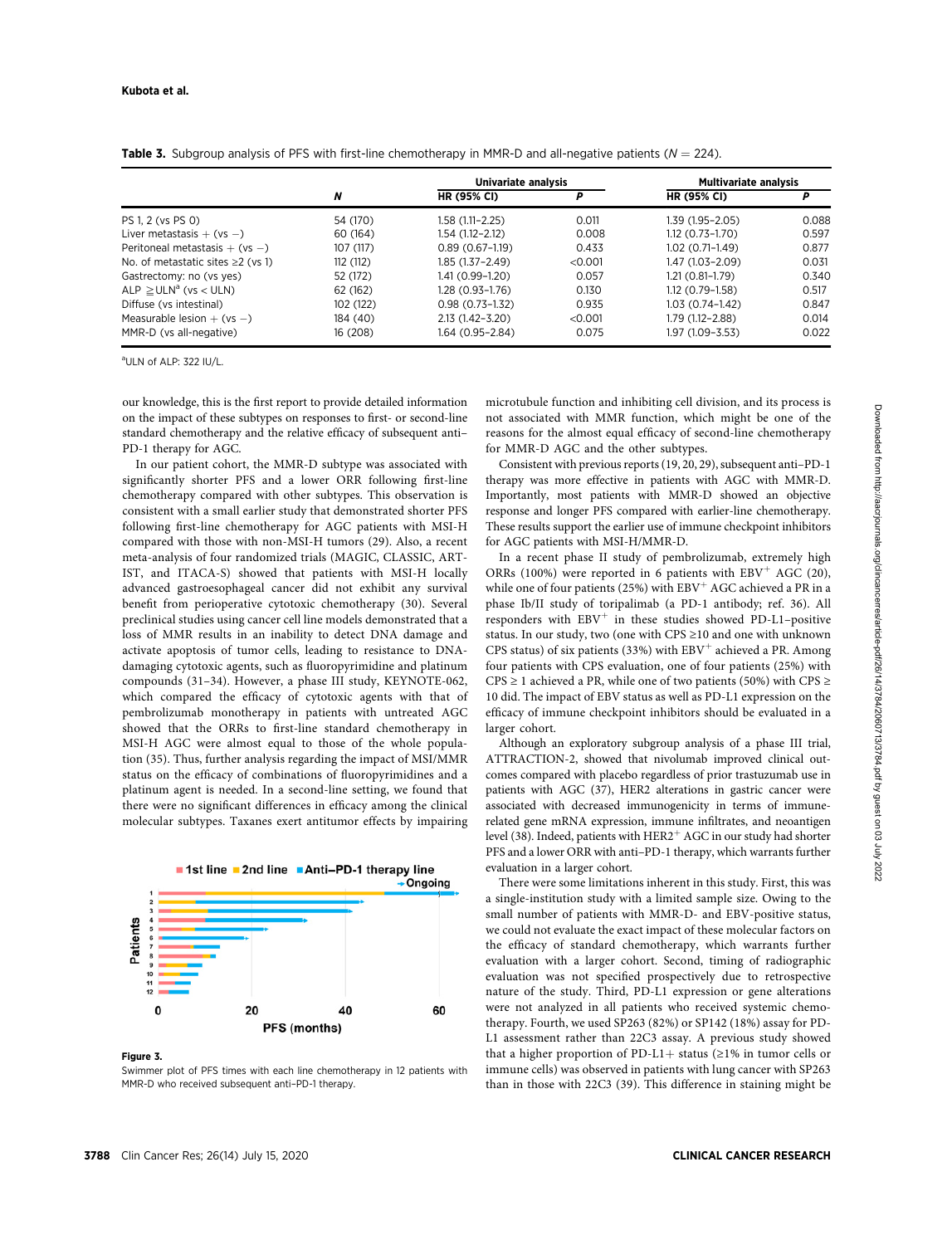|                                       |           | Univariate analysis |         | <b>Multivariate analysis</b> |       |  |
|---------------------------------------|-----------|---------------------|---------|------------------------------|-------|--|
|                                       | N         | <b>HR (95% CI)</b>  | P       | <b>HR (95% CI)</b>           | Р     |  |
| PS 1, 2 (vs PS 0)                     | 54 (170)  | 1.58 (1.11–2.25)    | 0.011   | 1.39 (1.95–2.05)             | 0.088 |  |
| Liver metastasis $+$ (vs $-$ )        | 60 (164)  | 1.54 (1.12-2.12)    | 0.008   | $1.12(0.73 - 1.70)$          | 0.597 |  |
| Peritoneal metastasis $+$ (vs $-$ )   | 107 (117) | $0.89(0.67-1.19)$   | 0.433   | $1.02(0.71-1.49)$            | 0.877 |  |
| No. of metastatic sites $\geq$ (vs 1) | 112(112)  | 1.85 (1.37–2.49)    | < 0.001 | 1.47 (1.03-2.09)             | 0.031 |  |
| Gastrectomy: no (vs yes)              | 52 (172)  | 1.41 (0.99-1.20)    | 0.057   | $1.21(0.81-1.79)$            | 0.340 |  |
| $ALP \geq ULN^a$ (vs < ULN)           | 62 (162)  | 1.28 (0.93–1.76)    | 0.130   | $1.12(0.79-1.58)$            | 0.517 |  |
| Diffuse (vs intestinal)               | 102 (122) | $0.98(0.73 - 1.32)$ | 0.935   | $1.03(0.74 - 1.42)$          | 0.847 |  |
| Measurable lesion $+$ (vs $-$ )       | 184 (40)  | $2.13(1.42 - 3.20)$ | < 0.001 | 1.79 (1.12-2.88)             | 0.014 |  |
| MMR-D (vs all-negative)               | 16 (208)  | 1.64 (0.95–2.84)    | 0.075   | 1.97 (1.09–3.53)             | 0.022 |  |

**Table 3.** Subgroup analysis of PFS with first-line chemotherapy in MMR-D and all-negative patients ( $N = 224$ ).

a ULN of ALP: 322 IU/L.

our knowledge, this is the first report to provide detailed information on the impact of these subtypes on responses to first- or second-line standard chemotherapy and the relative efficacy of subsequent anti– PD-1 therapy for AGC.

In our patient cohort, the MMR-D subtype was associated with significantly shorter PFS and a lower ORR following first-line chemotherapy compared with other subtypes. This observation is consistent with a small earlier study that demonstrated shorter PFS following first-line chemotherapy for AGC patients with MSI-H compared with those with non-MSI-H tumors (29). Also, a recent meta-analysis of four randomized trials (MAGIC, CLASSIC, ART-IST, and ITACA-S) showed that patients with MSI-H locally advanced gastroesophageal cancer did not exhibit any survival benefit from perioperative cytotoxic chemotherapy (30). Several preclinical studies using cancer cell line models demonstrated that a loss of MMR results in an inability to detect DNA damage and activate apoptosis of tumor cells, leading to resistance to DNAdamaging cytotoxic agents, such as fluoropyrimidine and platinum compounds (31–34). However, a phase III study, KEYNOTE-062, which compared the efficacy of cytotoxic agents with that of pembrolizumab monotherapy in patients with untreated AGC showed that the ORRs to first-line standard chemotherapy in MSI-H AGC were almost equal to those of the whole population (35). Thus, further analysis regarding the impact of MSI/MMR status on the efficacy of combinations of fluoropyrimidines and a platinum agent is needed. In a second-line setting, we found that there were no significant differences in efficacy among the clinical molecular subtypes. Taxanes exert antitumor effects by impairing



#### Figure 3.

Swimmer plot of PFS times with each line chemotherapy in 12 patients with MMR-D who received subsequent anti–PD-1 therapy.

microtubule function and inhibiting cell division, and its process is not associated with MMR function, which might be one of the reasons for the almost equal efficacy of second-line chemotherapy for MMR-D AGC and the other subtypes.

Consistent with previous reports (19, 20, 29), subsequent anti–PD-1 therapy was more effective in patients with AGC with MMR-D. Importantly, most patients with MMR-D showed an objective response and longer PFS compared with earlier-line chemotherapy. These results support the earlier use of immune checkpoint inhibitors for AGC patients with MSI-H/MMR-D.

In a recent phase II study of pembrolizumab, extremely high ORRs (100%) were reported in 6 patients with  $EBV^+$  AGC (20), while one of four patients (25%) with  $EBV<sup>+</sup> AGC$  achieved a PR in a phase Ib/II study of toripalimab (a PD-1 antibody; ref. 36). All responders with  $EBV^+$  in these studies showed PD-L1–positive status. In our study, two (one with CPS ≥10 and one with unknown CPS status) of six patients (33%) with  $EBV^+$  achieved a PR. Among four patients with CPS evaluation, one of four patients (25%) with CPS  $\geq$  1 achieved a PR, while one of two patients (50%) with CPS  $\geq$ 10 did. The impact of EBV status as well as PD-L1 expression on the efficacy of immune checkpoint inhibitors should be evaluated in a larger cohort.

Although an exploratory subgroup analysis of a phase III trial, ATTRACTION-2, showed that nivolumab improved clinical outcomes compared with placebo regardless of prior trastuzumab use in patients with AGC (37), HER2 alterations in gastric cancer were associated with decreased immunogenicity in terms of immunerelated gene mRNA expression, immune infiltrates, and neoantigen level (38). Indeed, patients with HER2<sup>+</sup> AGC in our study had shorter PFS and a lower ORR with anti–PD-1 therapy, which warrants further evaluation in a larger cohort.

There were some limitations inherent in this study. First, this was a single-institution study with a limited sample size. Owing to the small number of patients with MMR-D- and EBV-positive status, we could not evaluate the exact impact of these molecular factors on the efficacy of standard chemotherapy, which warrants further evaluation with a larger cohort. Second, timing of radiographic evaluation was not specified prospectively due to retrospective nature of the study. Third, PD-L1 expression or gene alterations were not analyzed in all patients who received systemic chemotherapy. Fourth, we used SP263 (82%) or SP142 (18%) assay for PD-L1 assessment rather than 22C3 assay. A previous study showed that a higher proportion of PD-L1+ status ( $\geq$ 1% in tumor cells or immune cells) was observed in patients with lung cancer with SP263 than in those with 22C3 (39). This difference in staining might be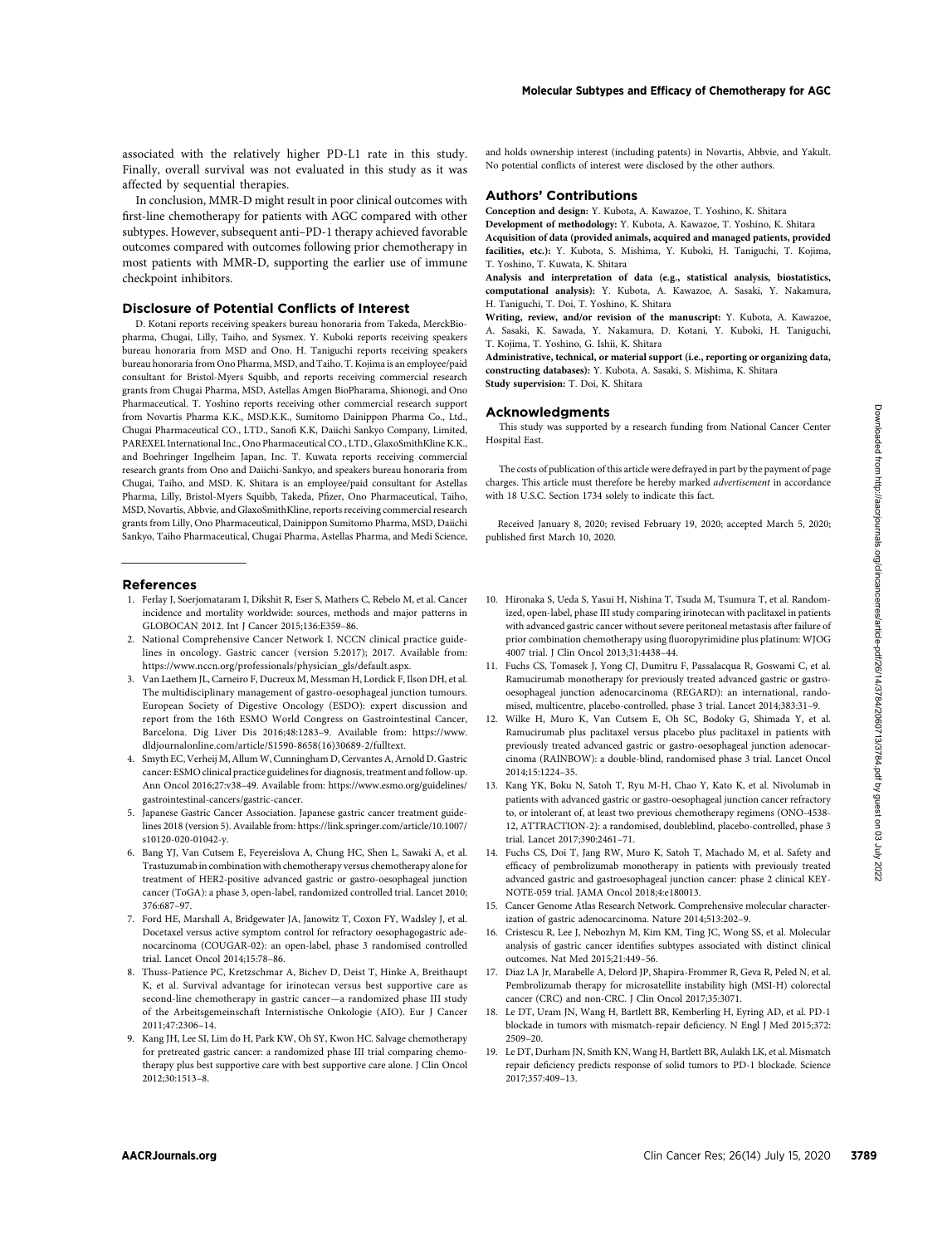affected by sequential therapies. In conclusion, MMR-D might result in poor clinical outcomes with first-line chemotherapy for patients with AGC compared with other subtypes. However, subsequent anti–PD-1 therapy achieved favorable outcomes compared with outcomes following prior chemotherapy in most patients with MMR-D, supporting the earlier use of immune checkpoint inhibitors.

#### Disclosure of Potential Conflicts of Interest

D. Kotani reports receiving speakers bureau honoraria from Takeda, MerckBiopharma, Chugai, Lilly, Taiho, and Sysmex. Y. Kuboki reports receiving speakers bureau honoraria from MSD and Ono. H. Taniguchi reports receiving speakers bureau honoraria from Ono Pharma, MSD, and Taiho. T. Kojima is an employee/paid consultant for Bristol-Myers Squibb, and reports receiving commercial research grants from Chugai Pharma, MSD, Astellas Amgen BioPharama, Shionogi, and Ono Pharmaceutical. T. Yoshino reports receiving other commercial research support from Novartis Pharma K.K., MSD.K.K., Sumitomo Dainippon Pharma Co., Ltd., Chugai Pharmaceutical CO., LTD., Sanofi K.K, Daiichi Sankyo Company, Limited, PAREXEL International Inc., Ono Pharmaceutical CO., LTD., GlaxoSmithKline K.K., and Boehringer Ingelheim Japan, Inc. T. Kuwata reports receiving commercial research grants from Ono and Daiichi-Sankyo, and speakers bureau honoraria from Chugai, Taiho, and MSD. K. Shitara is an employee/paid consultant for Astellas Pharma, Lilly, Bristol-Myers Squibb, Takeda, Pfizer, Ono Pharmaceutical, Taiho, MSD, Novartis, Abbvie, and GlaxoSmithKline, reports receiving commercial research grants from Lilly, Ono Pharmaceutical, Dainippon Sumitomo Pharma, MSD, Daiichi Sankyo, Taiho Pharmaceutical, Chugai Pharma, Astellas Pharma, and Medi Science, As Contributed from the Clinical Cancer Resident Contributed from the Clinical Cancer Resident From Hermann Contributed from the Clinical Cancer Resident From Hermann Contributed from the Clinical Cancer Resident From Her

#### References

- 1. Ferlay J, Soerjomataram I, Dikshit R, Eser S, Mathers C, Rebelo M, et al. Cancer incidence and mortality worldwide: sources, methods and major patterns in GLOBOCAN 2012. Int J Cancer 2015;136:E359–86.
- 2. National Comprehensive Cancer Network I. NCCN clinical practice guidelines in oncology. Gastric cancer (version 5.2017); 2017. Available from: [https://www.nccn.org/professionals/physician\\_gls/default.aspx.](https://www.nccn.org/professionals/physician_gls/default.aspx)
- 3. Van Laethem JL, Carneiro F, Ducreux M, Messman H, Lordick F, Ilson DH, et al. The multidisciplinary management of gastro-oesophageal junction tumours. European Society of Digestive Oncology (ESDO): expert discussion and report from the 16th ESMO World Congress on Gastrointestinal Cancer, Barcelona. Dig Liver Dis 2016;48:1283–9. Available from: [https://www.](https://www.dldjournalonline.com/article/S1590-8658(16)30689-2/fulltext) [dldjournalonline.com/article/S1590-8658\(16\)30689-2/fulltext.](https://www.dldjournalonline.com/article/S1590-8658(16)30689-2/fulltext)
- 4. Smyth EC, Verheij M, Allum W, Cunningham D, Cervantes A, Arnold D. Gastric cancer: ESMO clinical practice guidelines for diagnosis, treatment and follow-up. Ann Oncol 2016;27:v38–49. Available from: [https://www.esmo.org/guidelines/](a) [gastrointestinal-cancers/gastric-cancer.](a)
- 5. Japanese Gastric Cancer Association. Japanese gastric cancer treatment guidelines 2018 (version 5). Available from: [https://link.springer.com/article/10.1007/](a) [s10120-020-01042-y.](a)
- 6. Bang YJ, Van Cutsem E, Feyereislova A, Chung HC, Shen L, Sawaki A, et al. Trastuzumab in combination with chemotherapy versus chemotherapy alone for treatment of HER2-positive advanced gastric or gastro-oesophageal junction cancer (ToGA): a phase 3, open-label, randomized controlled trial. Lancet 2010; 376:687–97.
- 7. Ford HE, Marshall A, Bridgewater JA, Janowitz T, Coxon FY, Wadsley J, et al. Docetaxel versus active symptom control for refractory oesophagogastric adenocarcinoma (COUGAR-02): an open-label, phase 3 randomised controlled trial. Lancet Oncol 2014;15:78–86.
- 8. Thuss-Patience PC, Kretzschmar A, Bichev D, Deist T, Hinke A, Breithaupt K, et al. Survival advantage for irinotecan versus best supportive care as second-line chemotherapy in gastric cancer—a randomized phase III study of the Arbeitsgemeinschaft Internistische Onkologie (AIO). Eur J Cancer 2011;47:2306–14.
- 9. Kang JH, Lee SI, Lim do H, Park KW, Oh SY, Kwon HC. Salvage chemotherapy for pretreated gastric cancer: a randomized phase III trial comparing chemotherapy plus best supportive care with best supportive care alone. J Clin Oncol 2012;30:1513–8.

and holds ownership interest (including patents) in Novartis, Abbvie, and Yakult. No potential conflicts of interest were disclosed by the other authors.

# Authors' Contributions

Conception and design: Y. Kubota, A. Kawazoe, T. Yoshino, K. Shitara Development of methodology: Y. Kubota, A. Kawazoe, T. Yoshino, K. Shitara

Acquisition of data (provided animals, acquired and managed patients, provided facilities, etc.): Y. Kubota, S. Mishima, Y. Kuboki, H. Taniguchi, T. Kojima, T. Yoshino, T. Kuwata, K. Shitara

Analysis and interpretation of data (e.g., statistical analysis, biostatistics, computational analysis): Y. Kubota, A. Kawazoe, A. Sasaki, Y. Nakamura, H. Taniguchi, T. Doi, T. Yoshino, K. Shitara

Writing, review, and/or revision of the manuscript: Y. Kubota, A. Kawazoe, A. Sasaki, K. Sawada, Y. Nakamura, D. Kotani, Y. Kuboki, H. Taniguchi, T. Kojima, T. Yoshino, G. Ishii, K. Shitara

Administrative, technical, or material support (i.e., reporting or organizing data, constructing databases): Y. Kubota, A. Sasaki, S. Mishima, K. Shitara Study supervision: T. Doi, K. Shitara

### Acknowledgments

This study was supported by a research funding from National Cancer Center Hospital East.

The costs of publication of this article were defrayed in part by the payment of page charges. This article must therefore be hereby marked advertisement in accordance with 18 U.S.C. Section 1734 solely to indicate this fact.

Received January 8, 2020; revised February 19, 2020; accepted March 5, 2020; published first March 10, 2020.

- 10. Hironaka S, Ueda S, Yasui H, Nishina T, Tsuda M, Tsumura T, et al. Randomized, open-label, phase III study comparing irinotecan with paclitaxel in patients with advanced gastric cancer without severe peritoneal metastasis after failure of prior combination chemotherapy using fluoropyrimidine plus platinum: WJOG 4007 trial. J Clin Oncol 2013;31:4438–44.
- 11. Fuchs CS, Tomasek J, Yong CJ, Dumitru F, Passalacqua R, Goswami C, et al. Ramucirumab monotherapy for previously treated advanced gastric or gastrooesophageal junction adenocarcinoma (REGARD): an international, randomised, multicentre, placebo-controlled, phase 3 trial. Lancet 2014;383:31–9.
- 12. Wilke H, Muro K, Van Cutsem E, Oh SC, Bodoky G, Shimada Y, et al. Ramucirumab plus paclitaxel versus placebo plus paclitaxel in patients with previously treated advanced gastric or gastro-oesophageal junction adenocarcinoma (RAINBOW): a double-blind, randomised phase 3 trial. Lancet Oncol 2014;15:1224–35.
- 13. Kang YK, Boku N, Satoh T, Ryu M-H, Chao Y, Kato K, et al. Nivolumab in patients with advanced gastric or gastro-oesophageal junction cancer refractory to, or intolerant of, at least two previous chemotherapy regimens (ONO-4538- 12, ATTRACTION-2): a randomised, doubleblind, placebo-controlled, phase 3 trial. Lancet 2017;390:2461–71.
- 14. Fuchs CS, Doi T, Jang RW, Muro K, Satoh T, Machado M, et al. Safety and efficacy of pembrolizumab monotherapy in patients with previously treated advanced gastric and gastroesophageal junction cancer: phase 2 clinical KEY-NOTE-059 trial. JAMA Oncol 2018;4:e180013.
- 15. Cancer Genome Atlas Research Network. Comprehensive molecular characterization of gastric adenocarcinoma. Nature 2014;513:202–9.
- 16. Cristescu R, Lee J, Nebozhyn M, Kim KM, Ting JC, Wong SS, et al. Molecular analysis of gastric cancer identifies subtypes associated with distinct clinical outcomes. Nat Med 2015;21:449–56.
- 17. Diaz LA Jr, Marabelle A, Delord JP, Shapira-Frommer R, Geva R, Peled N, et al. Pembrolizumab therapy for microsatellite instability high (MSI-H) colorectal cancer (CRC) and non-CRC. J Clin Oncol 2017;35:3071.
- 18. Le DT, Uram JN, Wang H, Bartlett BR, Kemberling H, Eyring AD, et al. PD-1 blockade in tumors with mismatch-repair deficiency. N Engl J Med 2015;372: 2509–20.
- 19. Le DT, Durham JN, Smith KN, Wang H, Bartlett BR, Aulakh LK, et al. Mismatch repair deficiency predicts response of solid tumors to PD-1 blockade. Science 2017;357:409–13.